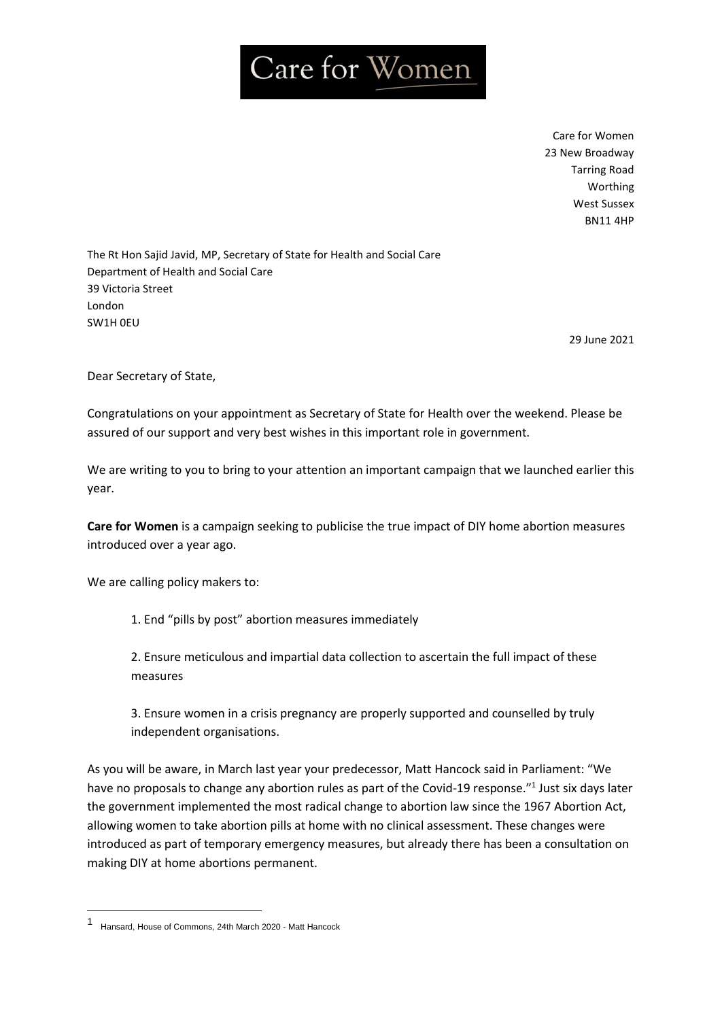## Care for Women

Care for Women 23 New Broadway Tarring Road Worthing West Sussex BN11 4HP

The Rt Hon Sajid Javid, MP, Secretary of State for Health and Social Care Department of Health and Social Care 39 Victoria Street London SW1H 0EU

29 June 2021

Dear Secretary of State,

Congratulations on your appointment as Secretary of State for Health over the weekend. Please be assured of our support and very best wishes in this important role in government.

We are writing to you to bring to your attention an important campaign that we launched earlier this year.

**Care for Women** is a campaign seeking to publicise the true impact of DIY home abortion measures introduced over a year ago.

We are calling policy makers to:

1. End "pills by post" abortion measures immediately

2. Ensure meticulous and impartial data collection to ascertain the full impact of these measures

3. Ensure women in a crisis pregnancy are properly supported and counselled by truly independent organisations.

As you will be aware, in March last year your predecessor, Matt Hancock said in Parliament: "We have no proposals to change any abortion rules as part of the Covid-19 response."<sup>1</sup> Just six days later the government implemented the most radical change to abortion law since the 1967 Abortion Act, allowing women to take abortion pills at home with no clinical assessment. These changes were introduced as part of temporary emergency measures, but already there has been a consultation on making DIY at home abortions permanent.

<sup>1</sup> Hansard, House of Commons, 24th March 2020 - Matt Hancock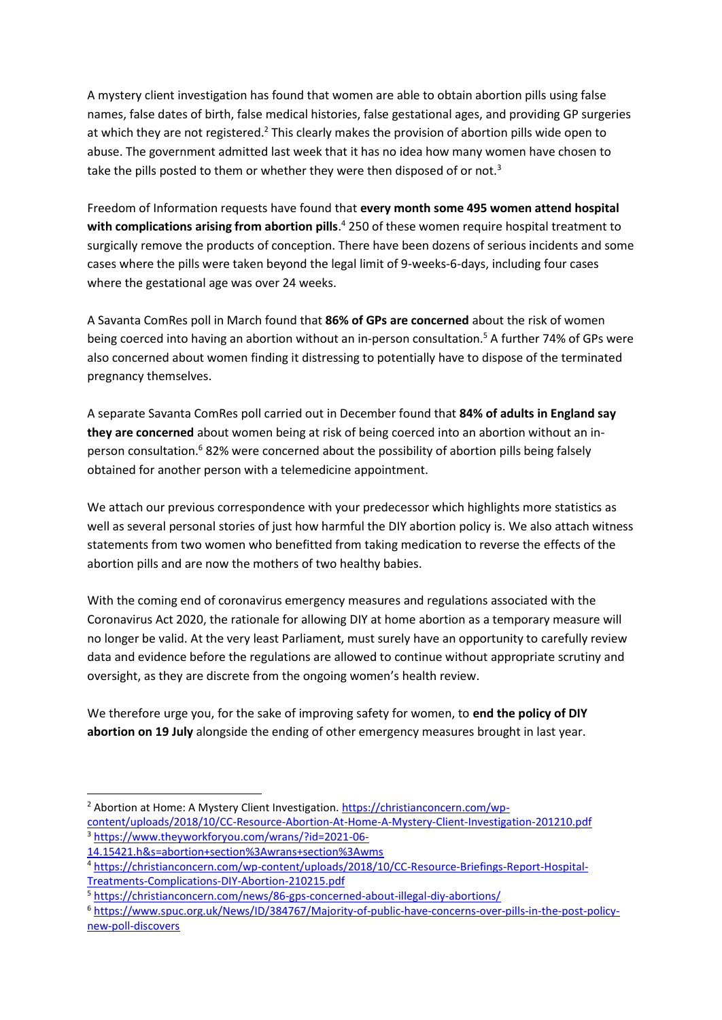A mystery client investigation has found that women are able to obtain abortion pills using false names, false dates of birth, false medical histories, false gestational ages, and providing GP surgeries at which they are not registered.<sup>2</sup> This clearly makes the provision of abortion pills wide open to abuse. The government admitted last week that it has no idea how many women have chosen to take the pills posted to them or whether they were then disposed of or not.<sup>3</sup>

Freedom of Information requests have found that **every month some 495 women attend hospital with complications arising from abortion pills**. <sup>4</sup> 250 of these women require hospital treatment to surgically remove the products of conception. There have been dozens of serious incidents and some cases where the pills were taken beyond the legal limit of 9-weeks-6-days, including four cases where the gestational age was over 24 weeks.

A Savanta ComRes poll in March found that **86% of GPs are concerned** about the risk of women being coerced into having an abortion without an in-person consultation.<sup>5</sup> A further 74% of GPs were also concerned about women finding it distressing to potentially have to dispose of the terminated pregnancy themselves.

A separate Savanta ComRes poll carried out in December found that **84% of adults in England say they are concerned** about women being at risk of being coerced into an abortion without an inperson consultation.<sup>6</sup> 82% were concerned about the possibility of abortion pills being falsely obtained for another person with a telemedicine appointment.

We attach our previous correspondence with your predecessor which highlights more statistics as well as several personal stories of just how harmful the DIY abortion policy is. We also attach witness statements from two women who benefitted from taking medication to reverse the effects of the abortion pills and are now the mothers of two healthy babies.

With the coming end of coronavirus emergency measures and regulations associated with the Coronavirus Act 2020, the rationale for allowing DIY at home abortion as a temporary measure will no longer be valid. At the very least Parliament, must surely have an opportunity to carefully review data and evidence before the regulations are allowed to continue without appropriate scrutiny and oversight, as they are discrete from the ongoing women's health review.

We therefore urge you, for the sake of improving safety for women, to **end the policy of DIY abortion on 19 July** alongside the ending of other emergency measures brought in last year.

<sup>&</sup>lt;sup>2</sup> Abortion at Home: A Mystery Client Investigation. [https://christianconcern.com/wp](https://christianconcern.com/wp-content/uploads/2018/10/CC-Resource-Abortion-At-Home-A-Mystery-Client-Investigation-201210.pdf)[content/uploads/2018/10/CC-Resource-Abortion-At-Home-A-Mystery-Client-Investigation-201210.pdf](https://christianconcern.com/wp-content/uploads/2018/10/CC-Resource-Abortion-At-Home-A-Mystery-Client-Investigation-201210.pdf) <sup>3</sup> [https://www.theyworkforyou.com/wrans/?id=2021-06-](https://www.theyworkforyou.com/wrans/?id=2021-06-14.15421.h&s=abortion+section%3Awrans+section%3Awms)

[<sup>14.15421.</sup>h&s=abortion+section%3Awrans+section%3Awms](https://www.theyworkforyou.com/wrans/?id=2021-06-14.15421.h&s=abortion+section%3Awrans+section%3Awms)

<sup>4</sup> [https://christianconcern.com/wp-content/uploads/2018/10/CC-Resource-Briefings-Report-Hospital-](https://christianconcern.com/wp-content/uploads/2018/10/CC-Resource-Briefings-Report-Hospital-Treatments-Complications-DIY-Abortion-210215.pdf)[Treatments-Complications-DIY-Abortion-210215.pdf](https://christianconcern.com/wp-content/uploads/2018/10/CC-Resource-Briefings-Report-Hospital-Treatments-Complications-DIY-Abortion-210215.pdf)

<sup>5</sup> <https://christianconcern.com/news/86-gps-concerned-about-illegal-diy-abortions/>

<sup>6</sup> [https://www.spuc.org.uk/News/ID/384767/Majority-of-public-have-concerns-over-pills-in-the-post-policy](https://www.spuc.org.uk/News/ID/384767/Majority-of-public-have-concerns-over-pills-in-the-post-policy-new-poll-discovers)[new-poll-discovers](https://www.spuc.org.uk/News/ID/384767/Majority-of-public-have-concerns-over-pills-in-the-post-policy-new-poll-discovers)